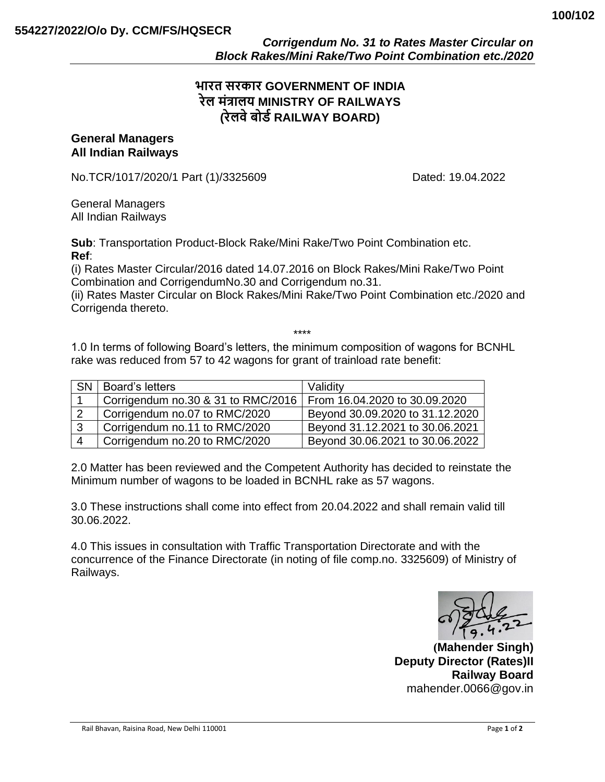# **भारत सरकार GOVERNMENT OF INDIA रेल मंत्रालय MINISTRY OF RAILWAYS (रेलवेबोर्डRAILWAY BOARD)**

#### **General Managers All Indian Railways**

No.TCR/1017/2020/1 Part (1)/3325609 Dated: 19.04.2022

General Managers All Indian Railways

**Sub**: Transportation Product-Block Rake/Mini Rake/Two Point Combination etc. **Ref**:

(i) Rates Master Circular/2016 dated 14.07.2016 on Block Rakes/Mini Rake/Two Point Combination and CorrigendumNo.30 and Corrigendum no.31.

(ii) Rates Master Circular on Block Rakes/Mini Rake/Two Point Combination etc./2020 and Corrigenda thereto.

\*\*\*\*

1.0 In terms of following Board's letters, the minimum composition of wagons for BCNHL rake was reduced from 57 to 42 wagons for grant of trainload rate benefit:

| <b>SN</b> | Board's letters                    | Validity                        |
|-----------|------------------------------------|---------------------------------|
|           | Corrigendum no.30 & 31 to RMC/2016 | From 16.04.2020 to 30.09.2020   |
|           | Corrigendum no.07 to RMC/2020      | Beyond 30.09.2020 to 31.12.2020 |
| ູ         | Corrigendum no.11 to RMC/2020      | Beyond 31.12.2021 to 30.06.2021 |
|           | Corrigendum no.20 to RMC/2020      | Beyond 30.06.2021 to 30.06.2022 |

2.0 Matter has been reviewed and the Competent Authority has decided to reinstate the Minimum number of wagons to be loaded in BCNHL rake as 57 wagons.

3.0 These instructions shall come into effect from 20.04.2022 and shall remain valid till 30.06.2022.

4.0 This issues in consultation with Traffic Transportation Directorate and with the concurrence of the Finance Directorate (in noting of file comp.no. 3325609) of Ministry of Railways.

**(Mahender Singh) Deputy Director (Rates)II Railway Board** mahender.0066@gov.in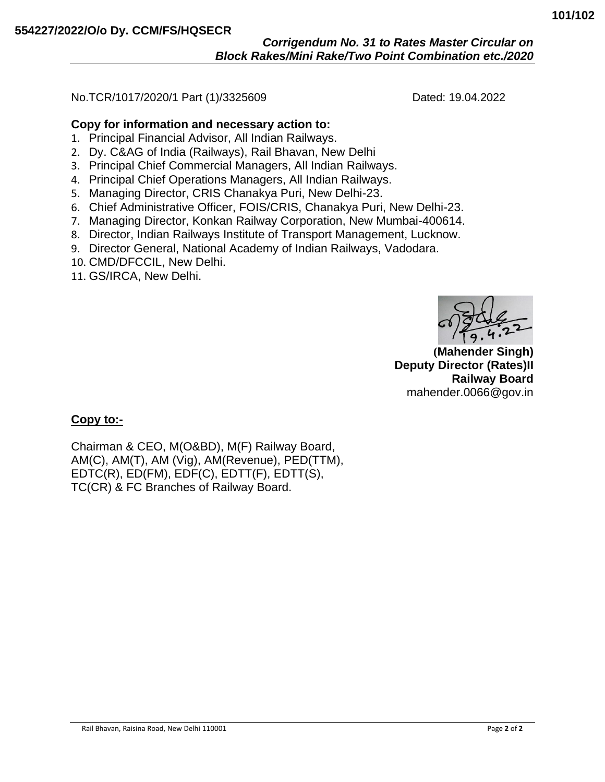## *Corrigendum No. 31 to Rates Master Circular on Block Rakes/Mini Rake/Two Point Combination etc./2020*

No.TCR/1017/2020/1 Part (1)/3325609 Dated: 19.04.2022

### **Copy for information and necessary action to:**

- 1. Principal Financial Advisor, All Indian Railways.
- 2. Dy. C&AG of India (Railways), Rail Bhavan, New Delhi
- 3. Principal Chief Commercial Managers, All Indian Railways.
- 4. Principal Chief Operations Managers, All Indian Railways.
- 5. Managing Director, CRIS Chanakya Puri, New Delhi-23.
- 6. Chief Administrative Officer, FOIS/CRIS, Chanakya Puri, New Delhi-23.
- 7. Managing Director, Konkan Railway Corporation, New Mumbai-400614.
- 8. Director, Indian Railways Institute of Transport Management, Lucknow.
- 9. Director General, National Academy of Indian Railways, Vadodara.
- 10. CMD/DFCCIL, New Delhi.
- 11. GS/IRCA, New Delhi.

**(Mahender Singh) Deputy Director (Rates)II Railway Board** mahender.0066@gov.in

### **Copy to:-**

Chairman & CEO, M(O&BD), M(F) Railway Board, AM(C), AM(T), AM (Vig), AM(Revenue), PED(TTM), EDTC(R), ED(FM), EDF(C), EDTT(F), EDTT(S), TC(CR) & FC Branches of Railway Board.